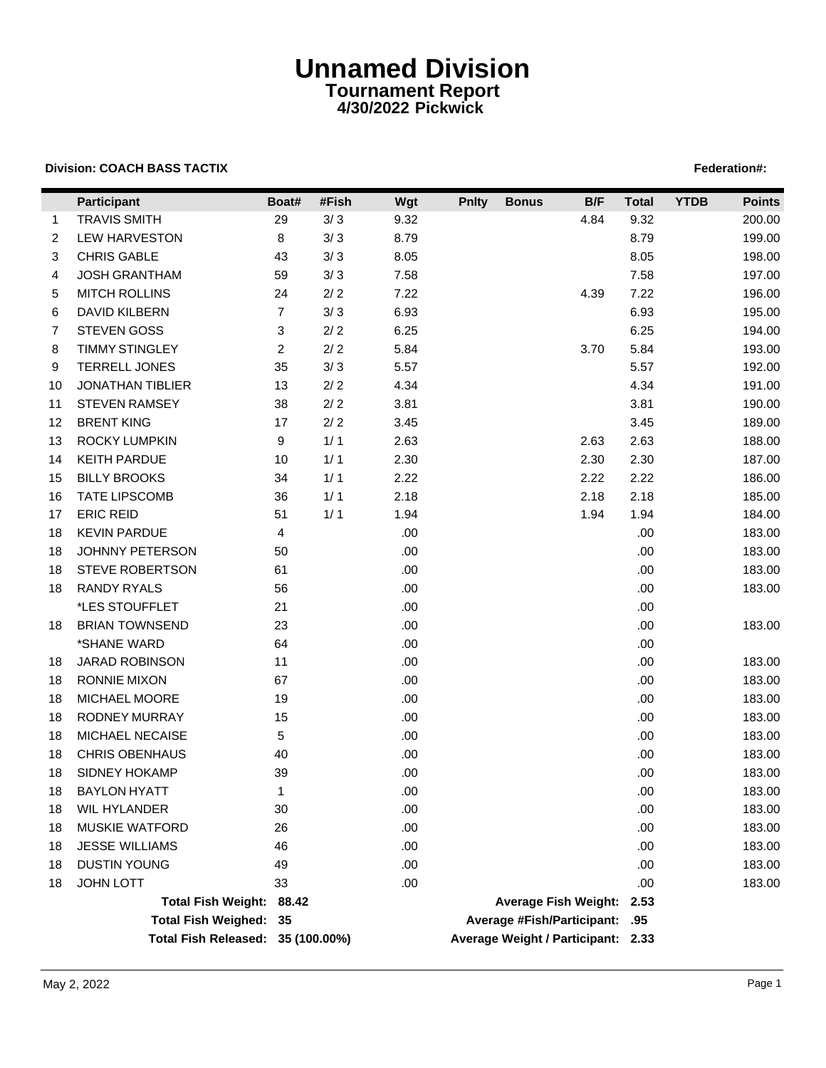## **Unnamed Division Tournament Report 4/30/2022 Pickwick**

## **Division: COACH BASS TACTIX Federation#: Federation Federation Federation Federation Federation Federation Federation Federation Federation Federation Federation Federation Federation Federat**

|    | Participant                       | Boat#          | #Fish | Wgt  | <b>Pnlty</b> | <b>Bonus</b>                       | B/F  | <b>Total</b> | <b>YTDB</b> | <b>Points</b> |
|----|-----------------------------------|----------------|-------|------|--------------|------------------------------------|------|--------------|-------------|---------------|
| 1  | <b>TRAVIS SMITH</b>               | 29             | $3/3$ | 9.32 |              |                                    | 4.84 | 9.32         |             | 200.00        |
| 2  | <b>LEW HARVESTON</b>              | 8              | $3/3$ | 8.79 |              |                                    |      | 8.79         |             | 199.00        |
| 3  | <b>CHRIS GABLE</b>                | 43             | $3/3$ | 8.05 |              |                                    |      | 8.05         |             | 198.00        |
| 4  | <b>JOSH GRANTHAM</b>              | 59             | $3/3$ | 7.58 |              |                                    |      | 7.58         |             | 197.00        |
| 5  | <b>MITCH ROLLINS</b>              | 24             | $2/2$ | 7.22 |              |                                    | 4.39 | 7.22         |             | 196.00        |
| 6  | DAVID KILBERN                     | $\overline{7}$ | $3/3$ | 6.93 |              |                                    |      | 6.93         |             | 195.00        |
| 7  | <b>STEVEN GOSS</b>                | 3              | $2/2$ | 6.25 |              |                                    |      | 6.25         |             | 194.00        |
| 8  | <b>TIMMY STINGLEY</b>             | $\overline{c}$ | $2/2$ | 5.84 |              |                                    | 3.70 | 5.84         |             | 193.00        |
| 9  | <b>TERRELL JONES</b>              | 35             | $3/3$ | 5.57 |              |                                    |      | 5.57         |             | 192.00        |
| 10 | <b>JONATHAN TIBLIER</b>           | 13             | $2/2$ | 4.34 |              |                                    |      | 4.34         |             | 191.00        |
| 11 | <b>STEVEN RAMSEY</b>              | 38             | $2/2$ | 3.81 |              |                                    |      | 3.81         |             | 190.00        |
| 12 | <b>BRENT KING</b>                 | 17             | $2/2$ | 3.45 |              |                                    |      | 3.45         |             | 189.00        |
| 13 | <b>ROCKY LUMPKIN</b>              | 9              | 1/1   | 2.63 |              |                                    | 2.63 | 2.63         |             | 188.00        |
| 14 | KEITH PARDUE                      | 10             | 1/1   | 2.30 |              |                                    | 2.30 | 2.30         |             | 187.00        |
| 15 | <b>BILLY BROOKS</b>               | 34             | 1/1   | 2.22 |              |                                    | 2.22 | 2.22         |             | 186.00        |
| 16 | <b>TATE LIPSCOMB</b>              | 36             | 1/1   | 2.18 |              |                                    | 2.18 | 2.18         |             | 185.00        |
| 17 | <b>ERIC REID</b>                  | 51             | 1/1   | 1.94 |              |                                    | 1.94 | 1.94         |             | 184.00        |
| 18 | <b>KEVIN PARDUE</b>               | 4              |       | .00  |              |                                    |      | .00          |             | 183.00        |
| 18 | <b>JOHNNY PETERSON</b>            | 50             |       | .00. |              |                                    |      | .00          |             | 183.00        |
| 18 | <b>STEVE ROBERTSON</b>            | 61             |       | .00. |              |                                    |      | .00          |             | 183.00        |
| 18 | <b>RANDY RYALS</b>                | 56             |       | .00. |              |                                    |      | .00.         |             | 183.00        |
|    | *LES STOUFFLET                    | 21             |       | .00. |              |                                    |      | .00          |             |               |
| 18 | <b>BRIAN TOWNSEND</b>             | 23             |       | .00. |              |                                    |      | .00.         |             | 183.00        |
|    | *SHANE WARD                       | 64             |       | .00. |              |                                    |      | .00.         |             |               |
| 18 | <b>JARAD ROBINSON</b>             | 11             |       | .00. |              |                                    |      | .00          |             | 183.00        |
| 18 | <b>RONNIE MIXON</b>               | 67             |       | .00. |              |                                    |      | .00          |             | 183.00        |
| 18 | MICHAEL MOORE                     | 19             |       | .00. |              |                                    |      | .00.         |             | 183.00        |
| 18 | <b>RODNEY MURRAY</b>              | 15             |       | .00. |              |                                    |      | .00.         |             | 183.00        |
| 18 | MICHAEL NECAISE                   | 5              |       | .00. |              |                                    |      | .00          |             | 183.00        |
| 18 | <b>CHRIS OBENHAUS</b>             | 40             |       | .00. |              |                                    |      | .00          |             | 183.00        |
| 18 | SIDNEY HOKAMP                     | 39             |       | .00. |              |                                    |      | .00          |             | 183.00        |
| 18 | <b>BAYLON HYATT</b>               | 1              |       | .00  |              |                                    |      | .00          |             | 183.00        |
| 18 | WIL HYLANDER                      | 30             |       | .00  |              |                                    |      | .00          |             | 183.00        |
| 18 | <b>MUSKIE WATFORD</b>             | 26             |       | .00. |              |                                    |      | .00          |             | 183.00        |
| 18 | <b>JESSE WILLIAMS</b>             | 46             |       | .00. |              |                                    |      | .00          |             | 183.00        |
| 18 | <b>DUSTIN YOUNG</b>               | 49             |       | .00. |              |                                    |      | .00          |             | 183.00        |
| 18 | <b>JOHN LOTT</b>                  | 33             |       | .00. |              |                                    |      | .00          |             | 183.00        |
|    | Total Fish Weight: 88.42          |                |       |      |              | Average Fish Weight: 2.53          |      |              |             |               |
|    | Total Fish Weighed: 35            |                |       |      |              | Average #Fish/Participant: .95     |      |              |             |               |
|    | Total Fish Released: 35 (100.00%) |                |       |      |              | Average Weight / Participant: 2.33 |      |              |             |               |
|    |                                   |                |       |      |              |                                    |      |              |             |               |